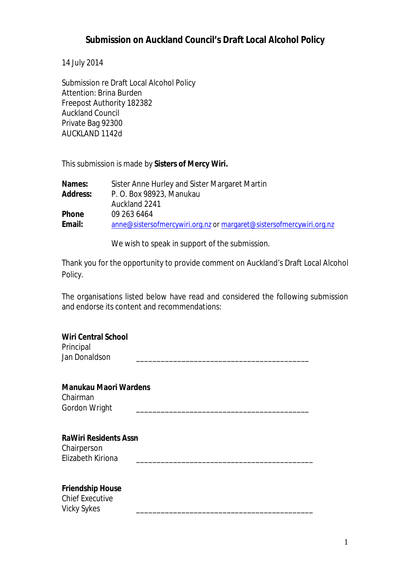# **Submission on Auckland Council's Draft Local Alcohol Policy**

14 July 2014

Submission re Draft Local Alcohol Policy Attention: Brina Burden Freepost Authority 182382 Auckland Council Private Bag 92300 AUCKLAND 1142d

This submission is made by **Sisters of Mercy Wiri.**

| Names:          | Sister Anne Hurley and Sister Margaret Martin                        |
|-----------------|----------------------------------------------------------------------|
| <b>Address:</b> | P. O. Box 98923, Manukau                                             |
|                 | Auckland 2241                                                        |
| <b>Phone</b>    | 09 263 6464                                                          |
| Email:          | anne@sistersofmercywiri.org.nz or margaret@sistersofmercywiri.org.nz |

We wish to speak in support of the submission.

Thank you for the opportunity to provide comment on Auckland's Draft Local Alcohol Policy.

The organisations listed below have read and considered the following submission and endorse its content and recommendations:

| <b>Wiri Central School</b><br>Principal<br>Jan Donaldson  |  |  |
|-----------------------------------------------------------|--|--|
| <b>Manukau Maori Wardens</b><br>Chairman<br>Gordon Wright |  |  |

|  | <b>RaWiri Residents Assn</b> |  |  |  |  |
|--|------------------------------|--|--|--|--|
|--|------------------------------|--|--|--|--|

Chairperson Elizabeth Kiriona \_\_\_\_\_\_\_\_\_\_\_\_\_\_\_\_\_\_\_\_\_\_\_\_\_\_\_\_\_\_\_\_\_\_\_\_\_\_\_\_\_\_\_

# **Friendship House**

Chief Executive Vicky Sykes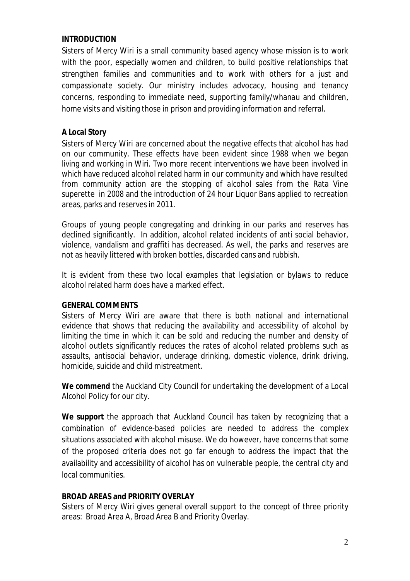## **INTRODUCTION**

Sisters of Mercy Wiri is a small community based agency whose mission is to work with the poor, especially women and children, to build positive relationships that strengthen families and communities and to work with others for a just and compassionate society. Our ministry includes advocacy, housing and tenancy concerns, responding to immediate need, supporting family/whanau and children, home visits and visiting those in prison and providing information and referral.

# **A Local Story**

Sisters of Mercy Wiri are concerned about the negative effects that alcohol has had on our community. These effects have been evident since 1988 when we began living and working in Wiri. Two more recent interventions we have been involved in which have reduced alcohol related harm in our community and which have resulted from community action are the stopping of alcohol sales from the Rata Vine superette in 2008 and the introduction of 24 hour Liquor Bans applied to recreation areas, parks and reserves in 2011.

Groups of young people congregating and drinking in our parks and reserves has declined significantly. In addition, alcohol related incidents of anti social behavior, violence, vandalism and graffiti has decreased. As well, the parks and reserves are not as heavily littered with broken bottles, discarded cans and rubbish.

It is evident from these two local examples that legislation or bylaws to reduce alcohol related harm does have a marked effect.

## **GENERAL COMMENTS**

Sisters of Mercy Wiri are aware that there is both national and international evidence that shows that reducing the availability and accessibility of alcohol by limiting the time in which it can be sold and reducing the number and density of alcohol outlets significantly reduces the rates of alcohol related problems such as assaults, antisocial behavior, underage drinking, domestic violence, drink driving, homicide, suicide and child mistreatment.

**We commend** the Auckland City Council for undertaking the development of a Local Alcohol Policy for our city.

**We support** the approach that Auckland Council has taken by recognizing that a combination of evidence-based policies are needed to address the complex situations associated with alcohol misuse. We do however, have concerns that some of the proposed criteria does not go far enough to address the impact that the availability and accessibility of alcohol has on vulnerable people, the central city and local communities.

# **BROAD AREAS and PRIORITY OVERLAY**

Sisters of Mercy Wiri gives general overall support to the concept of three priority areas: Broad Area A, Broad Area B and Priority Overlay.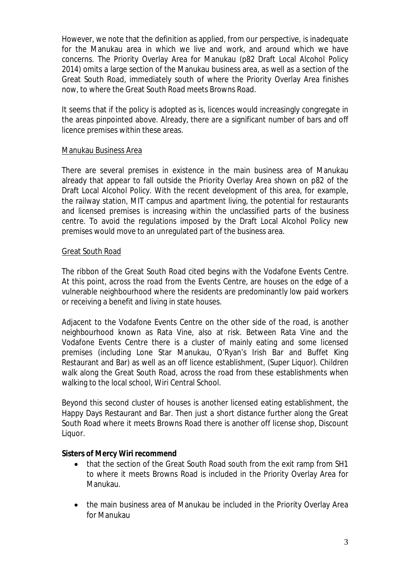However, we note that the definition as applied, from our perspective, is inadequate for the Manukau area in which we live and work, and around which we have concerns. The Priority Overlay Area for Manukau (p82 Draft Local Alcohol Policy 2014) omits a large section of the Manukau business area, as well as a section of the Great South Road, immediately south of where the Priority Overlay Area finishes now, to where the Great South Road meets Browns Road.

It seems that if the policy is adopted as is, licences would increasingly congregate in the areas pinpointed above. Already, there are a significant number of bars and off licence premises within these areas.

## Manukau Business Area

There are several premises in existence in the main business area of Manukau already that appear to fall outside the Priority Overlay Area shown on p82 of the Draft Local Alcohol Policy. With the recent development of this area, for example, the railway station, MIT campus and apartment living, the potential for restaurants and licensed premises is increasing within the unclassified parts of the business centre. To avoid the regulations imposed by the Draft Local Alcohol Policy new premises would move to an unregulated part of the business area.

## Great South Road

The ribbon of the Great South Road cited begins with the Vodafone Events Centre. At this point, across the road from the Events Centre, are houses on the edge of a vulnerable neighbourhood where the residents are predominantly low paid workers or receiving a benefit and living in state houses.

Adjacent to the Vodafone Events Centre on the other side of the road, is another neighbourhood known as Rata Vine, also at risk. Between Rata Vine and the Vodafone Events Centre there is a cluster of mainly eating and some licensed premises (including Lone Star Manukau, O'Ryan's Irish Bar and Buffet King Restaurant and Bar) as well as an off licence establishment, (Super Liquor). Children walk along the Great South Road, across the road from these establishments when walking to the local school, Wiri Central School.

Beyond this second cluster of houses is another licensed eating establishment, the Happy Days Restaurant and Bar. Then just a short distance further along the Great South Road where it meets Browns Road there is another off license shop, Discount Liquor.

## **Sisters of Mercy Wiri recommend**

- that the section of the Great South Road south from the exit ramp from SH1 to where it meets Browns Road is included in the Priority Overlay Area for Manukau.
- the main business area of Manukau be included in the Priority Overlay Area for Manukau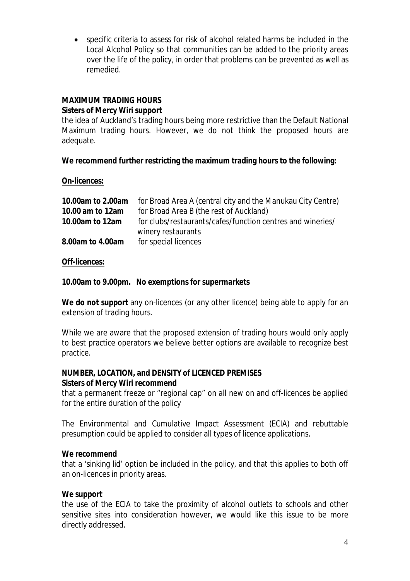specific criteria to assess for risk of alcohol related harms be included in the Local Alcohol Policy so that communities can be added to the priority areas over the life of the policy, in order that problems can be prevented as well as remedied.

## **MAXIMUM TRADING HOURS**

## **Sisters of Mercy Wiri support**

the idea of Auckland's trading hours being more restrictive than the Default National Maximum trading hours. However, we do not think the proposed hours are adequate.

## **We recommend further restricting the maximum trading hours to the following:**

## **On-licences:**

| 10.00am to 2.00am | for Broad Area A (central city and the Manukau City Centre)                      |
|-------------------|----------------------------------------------------------------------------------|
| 10.00 am to 12am  | for Broad Area B (the rest of Auckland)                                          |
| 10.00am to 12am   | for clubs/restaurants/cafes/function centres and wineries/<br>winery restaurants |
| 8.00am to 4.00am  | for special licences                                                             |

## **Off-licences:**

## **10.00am to 9.00pm. No exemptions for supermarkets**

**We do not support** any on-licences (or any other licence) being able to apply for an extension of trading hours.

While we are aware that the proposed extension of trading hours would only apply to best practice operators we believe better options are available to recognize best practice.

# **NUMBER, LOCATION, and DENSITY of LICENCED PREMISES Sisters of Mercy Wiri recommend**

that a permanent freeze or "regional cap" on all new on and off-licences be applied for the entire duration of the policy

The Environmental and Cumulative Impact Assessment (ECIA) and rebuttable presumption could be applied to consider all types of licence applications.

## **We recommend**

that a 'sinking lid' option be included in the policy, and that this applies to both off an on-licences in priority areas.

## **We support**

the use of the ECIA to take the proximity of alcohol outlets to schools and other sensitive sites into consideration however, we would like this issue to be more directly addressed.